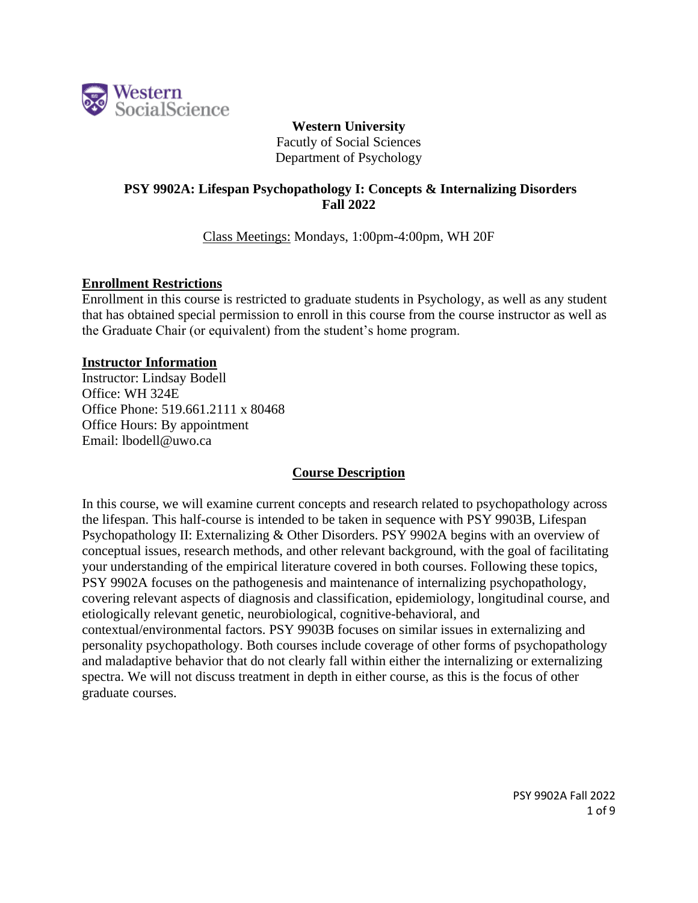

**Western University** Facutly of Social Sciences Department of Psychology

# **PSY 9902A: Lifespan Psychopathology I: Concepts & Internalizing Disorders Fall 2022**

Class Meetings: Mondays, 1:00pm-4:00pm, WH 20F

#### **Enrollment Restrictions**

Enrollment in this course is restricted to graduate students in Psychology, as well as any student that has obtained special permission to enroll in this course from the course instructor as well as the Graduate Chair (or equivalent) from the student's home program.

#### **Instructor Information**

Instructor: Lindsay Bodell Office: WH 324E Office Phone: 519.661.2111 x 80468 Office Hours: By appointment Email: lbodell@uwo.ca

### **Course Description**

In this course, we will examine current concepts and research related to psychopathology across the lifespan. This half-course is intended to be taken in sequence with PSY 9903B, Lifespan Psychopathology II: Externalizing & Other Disorders. PSY 9902A begins with an overview of conceptual issues, research methods, and other relevant background, with the goal of facilitating your understanding of the empirical literature covered in both courses. Following these topics, PSY 9902A focuses on the pathogenesis and maintenance of internalizing psychopathology, covering relevant aspects of diagnosis and classification, epidemiology, longitudinal course, and etiologically relevant genetic, neurobiological, cognitive-behavioral, and contextual/environmental factors. PSY 9903B focuses on similar issues in externalizing and personality psychopathology. Both courses include coverage of other forms of psychopathology and maladaptive behavior that do not clearly fall within either the internalizing or externalizing spectra. We will not discuss treatment in depth in either course, as this is the focus of other graduate courses.

> PSY 9902A Fall 2022 1 of 9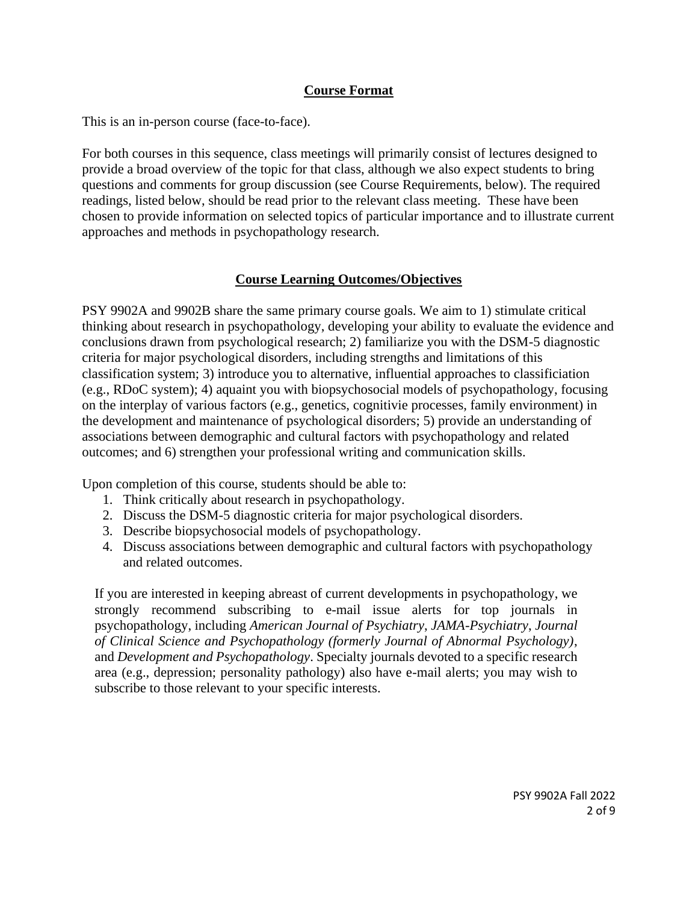# **Course Format**

This is an in-person course (face-to-face).

For both courses in this sequence, class meetings will primarily consist of lectures designed to provide a broad overview of the topic for that class, although we also expect students to bring questions and comments for group discussion (see Course Requirements, below). The required readings, listed below, should be read prior to the relevant class meeting. These have been chosen to provide information on selected topics of particular importance and to illustrate current approaches and methods in psychopathology research.

# **Course Learning Outcomes/Objectives**

PSY 9902A and 9902B share the same primary course goals. We aim to 1) stimulate critical thinking about research in psychopathology, developing your ability to evaluate the evidence and conclusions drawn from psychological research; 2) familiarize you with the DSM-5 diagnostic criteria for major psychological disorders, including strengths and limitations of this classification system; 3) introduce you to alternative, influential approaches to classificiation (e.g., RDoC system); 4) aquaint you with biopsychosocial models of psychopathology, focusing on the interplay of various factors (e.g., genetics, cognitivie processes, family environment) in the development and maintenance of psychological disorders; 5) provide an understanding of associations between demographic and cultural factors with psychopathology and related outcomes; and 6) strengthen your professional writing and communication skills.

Upon completion of this course, students should be able to:

- 1. Think critically about research in psychopathology.
- 2. Discuss the DSM-5 diagnostic criteria for major psychological disorders.
- 3. Describe biopsychosocial models of psychopathology.
- 4. Discuss associations between demographic and cultural factors with psychopathology and related outcomes.

If you are interested in keeping abreast of current developments in psychopathology, we strongly recommend subscribing to e-mail issue alerts for top journals in psychopathology, including *American Journal of Psychiatry*, *JAMA-Psychiatry*, *Journal of Clinical Science and Psychopathology (formerly Journal of Abnormal Psychology)*, and *Development and Psychopathology*. Specialty journals devoted to a specific research area (e.g., depression; personality pathology) also have e-mail alerts; you may wish to subscribe to those relevant to your specific interests.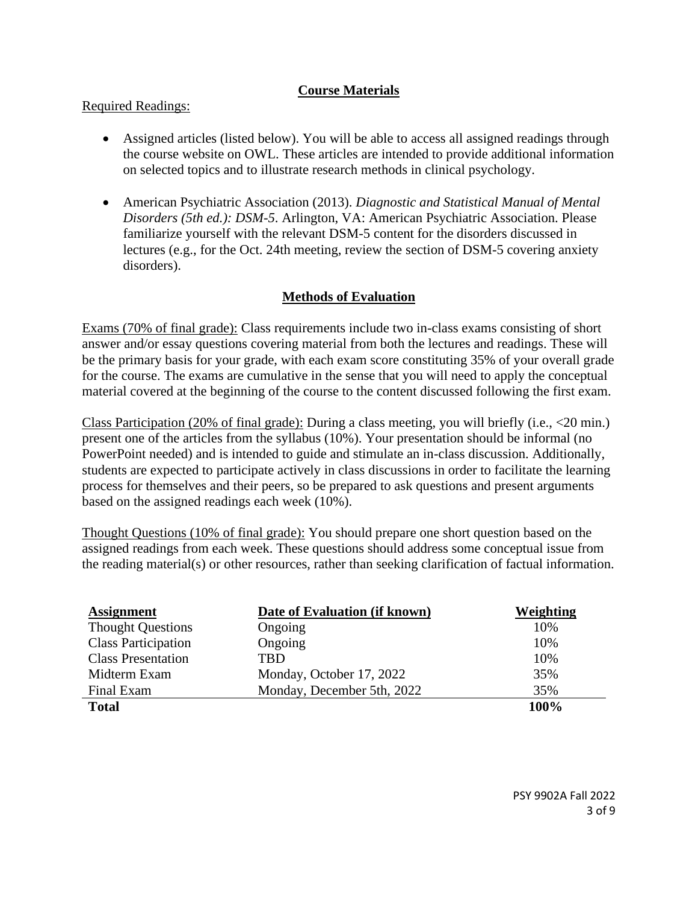## **Course Materials**

### Required Readings:

- Assigned articles (listed below). You will be able to access all assigned readings through the course website on OWL. These articles are intended to provide additional information on selected topics and to illustrate research methods in clinical psychology.
- American Psychiatric Association (2013). *Diagnostic and Statistical Manual of Mental Disorders (5th ed.): DSM-5*. Arlington, VA: American Psychiatric Association. Please familiarize yourself with the relevant DSM-5 content for the disorders discussed in lectures (e.g., for the Oct. 24th meeting, review the section of DSM-5 covering anxiety disorders).

# **Methods of Evaluation**

Exams (70% of final grade): Class requirements include two in-class exams consisting of short answer and/or essay questions covering material from both the lectures and readings. These will be the primary basis for your grade, with each exam score constituting 35% of your overall grade for the course. The exams are cumulative in the sense that you will need to apply the conceptual material covered at the beginning of the course to the content discussed following the first exam.

Class Participation (20% of final grade): During a class meeting, you will briefly (i.e., <20 min.) present one of the articles from the syllabus (10%). Your presentation should be informal (no PowerPoint needed) and is intended to guide and stimulate an in-class discussion. Additionally, students are expected to participate actively in class discussions in order to facilitate the learning process for themselves and their peers, so be prepared to ask questions and present arguments based on the assigned readings each week (10%).

Thought Questions (10% of final grade): You should prepare one short question based on the assigned readings from each week. These questions should address some conceptual issue from the reading material(s) or other resources, rather than seeking clarification of factual information.

| <b>Assignment</b>          | Date of Evaluation (if known) | Weighting |
|----------------------------|-------------------------------|-----------|
| <b>Thought Questions</b>   | Ongoing                       | 10%       |
| <b>Class Participation</b> | Ongoing                       | 10%       |
| <b>Class Presentation</b>  | TRD                           | 10%       |
| Midterm Exam               | Monday, October 17, 2022      | 35%       |
| Final Exam                 | Monday, December 5th, 2022    | 35%       |
| <b>Total</b>               |                               | 100%      |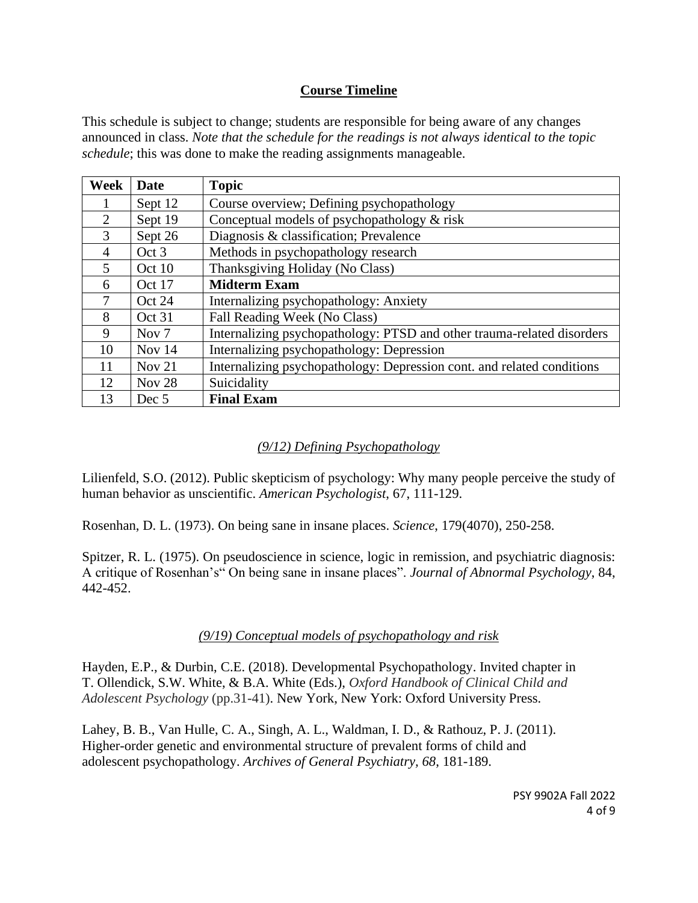### **Course Timeline**

This schedule is subject to change; students are responsible for being aware of any changes announced in class. *Note that the schedule for the readings is not always identical to the topic schedule*; this was done to make the reading assignments manageable.

| Week           | Date              | <b>Topic</b>                                                           |
|----------------|-------------------|------------------------------------------------------------------------|
|                | Sept 12           | Course overview; Defining psychopathology                              |
| 2              | Sept 19           | Conceptual models of psychopathology & risk                            |
| 3              | Sept 26           | Diagnosis & classification; Prevalence                                 |
| $\overline{4}$ | Oct 3             | Methods in psychopathology research                                    |
| 5              | Oct 10            | Thanksgiving Holiday (No Class)                                        |
| 6              | Oct 17            | <b>Midterm Exam</b>                                                    |
| $\tau$         | Oct 24            | Internalizing psychopathology: Anxiety                                 |
| 8              | Oct 31            | Fall Reading Week (No Class)                                           |
| 9              | Nov <sub>7</sub>  | Internalizing psychopathology: PTSD and other trauma-related disorders |
| 10             | Nov $14$          | Internalizing psychopathology: Depression                              |
| 11             | Nov $21$          | Internalizing psychopathology: Depression cont. and related conditions |
| 12             | Nov <sub>28</sub> | Suicidality                                                            |
| 13             | Dec 5             | <b>Final Exam</b>                                                      |

## *(9/12) Defining Psychopathology*

Lilienfeld, S.O. (2012). Public skepticism of psychology: Why many people perceive the study of human behavior as unscientific. *American Psychologist*, 67, 111-129.

Rosenhan, D. L. (1973). On being sane in insane places. *Science*, 179(4070), 250-258.

Spitzer, R. L. (1975). On pseudoscience in science, logic in remission, and psychiatric diagnosis: A critique of Rosenhan's" On being sane in insane places". *Journal of Abnormal Psychology*, 84, 442-452.

### *(9/19) Conceptual models of psychopathology and risk*

Hayden, E.P., & Durbin, C.E. (2018). Developmental Psychopathology. Invited chapter in T. Ollendick, S.W. White, & B.A. White (Eds.), *Oxford Handbook of Clinical Child and Adolescent Psychology* (pp.31-41). New York, New York: Oxford University Press.

Lahey, B. B., Van Hulle, C. A., Singh, A. L., Waldman, I. D., & Rathouz, P. J. (2011). Higher-order genetic and environmental structure of prevalent forms of child and adolescent psychopathology. *Archives of General Psychiatry, 68*, 181-189.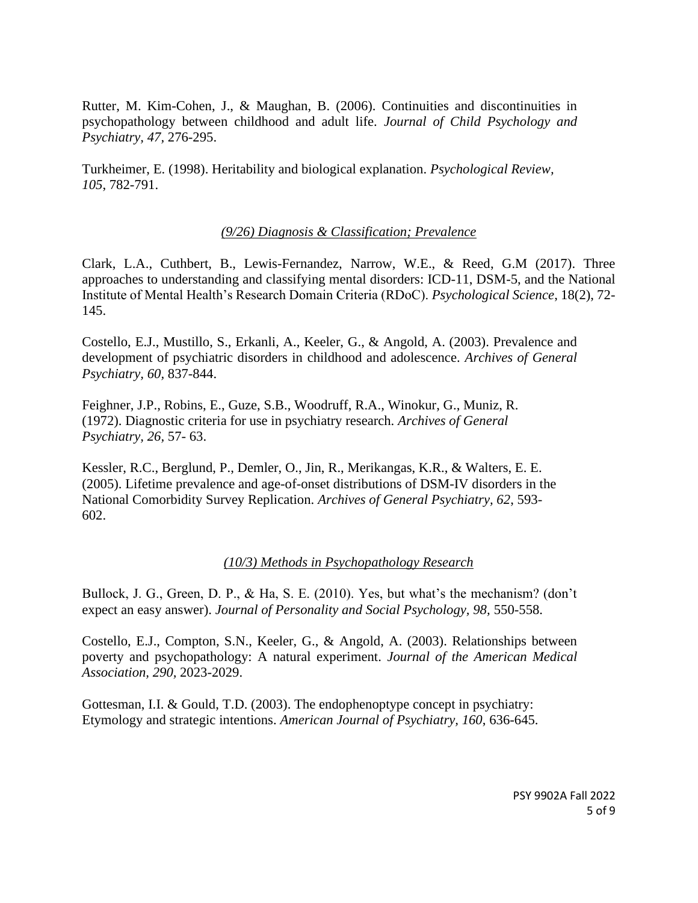Rutter, M. Kim-Cohen, J., & Maughan, B. (2006). Continuities and discontinuities in psychopathology between childhood and adult life. *Journal of Child Psychology and Psychiatry, 47,* 276-295.

Turkheimer, E. (1998). Heritability and biological explanation. *Psychological Review, 105*, 782-791.

#### *(9/26) Diagnosis & Classification; Prevalence*

Clark, L.A., Cuthbert, B., Lewis-Fernandez, Narrow, W.E., & Reed, G.M (2017). Three approaches to understanding and classifying mental disorders: ICD-11, DSM-5, and the National Institute of Mental Health's Research Domain Criteria (RDoC). *Psychological Science*, 18(2), 72- 145.

Costello, E.J., Mustillo, S., Erkanli, A., Keeler, G., & Angold, A. (2003). Prevalence and development of psychiatric disorders in childhood and adolescence. *Archives of General Psychiatry, 60,* 837-844.

Feighner, J.P., Robins, E., Guze, S.B., Woodruff, R.A., Winokur, G., Muniz, R. (1972). Diagnostic criteria for use in psychiatry research. *Archives of General Psychiatry, 26,* 57- 63.

Kessler, R.C., Berglund, P., Demler, O., Jin, R., Merikangas, K.R., & Walters, E. E. (2005). Lifetime prevalence and age-of-onset distributions of DSM-IV disorders in the National Comorbidity Survey Replication. *Archives of General Psychiatry, 62*, 593- 602.

#### *(10/3) Methods in Psychopathology Research*

Bullock, J. G., Green, D. P., & Ha, S. E. (2010). Yes, but what's the mechanism? (don't expect an easy answer). *Journal of Personality and Social Psychology, 98,* 550-558.

Costello, E.J., Compton, S.N., Keeler, G., & Angold, A. (2003). Relationships between poverty and psychopathology: A natural experiment. *Journal of the American Medical Association, 290,* 2023-2029.

Gottesman, I.I. & Gould, T.D. (2003). The endophenoptype concept in psychiatry: Etymology and strategic intentions. *American Journal of Psychiatry, 160*, 636-645.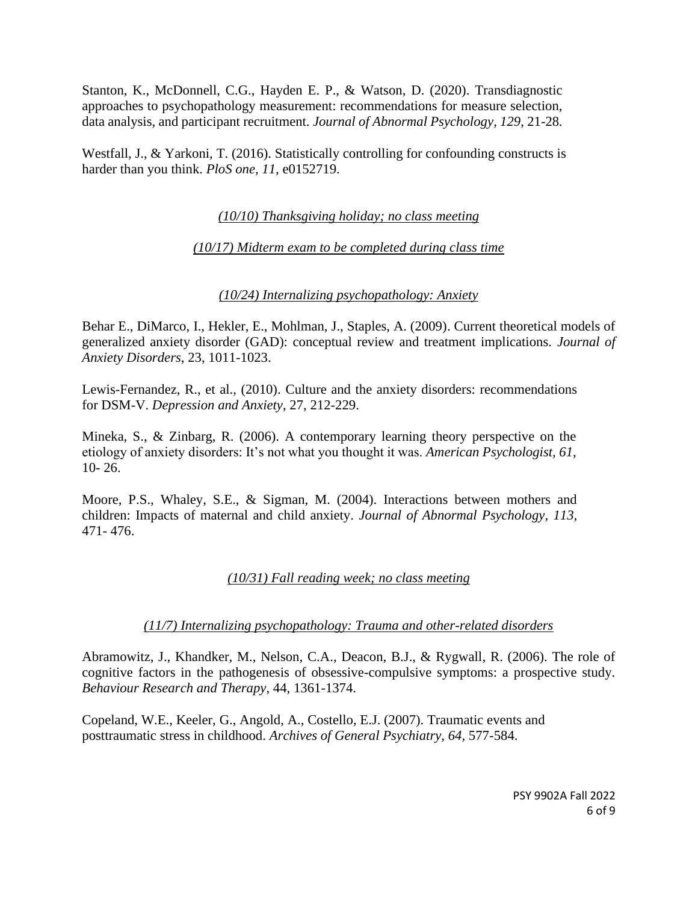Stanton, K., McDonnell, C.G., Hayden E. P., & Watson, D. (2020). Transdiagnostic approaches to psychopathology measurement: recommendations for measure selection, data analysis, and participant recruitment. *Journal of Abnormal Psychology, 129*, 21-28*.*

Westfall, J., & Yarkoni, T. (2016). Statistically controlling for confounding constructs is harder than you think. *PloS one, 11,* e0152719.

*(10/10) Thanksgiving holiday; no class meeting*

# *(10/17) Midterm exam to be completed during class time*

### *(10/24) Internalizing psychopathology: Anxiety*

Behar E., DiMarco, I., Hekler, E., Mohlman, J., Staples, A. (2009). Current theoretical models of generalized anxiety disorder (GAD): conceptual review and treatment implications. *Journal of Anxiety Disorders*, 23, 1011-1023.

Lewis-Fernandez, R., et al., (2010). Culture and the anxiety disorders: recommendations for DSM-V. *Depression and Anxiety*, 27, 212-229.

Mineka, S., & Zinbarg, R. (2006). A contemporary learning theory perspective on the etiology of anxiety disorders: It's not what you thought it was. *American Psychologist, 61*, 10- 26.

Moore, P.S., Whaley, S.E., & Sigman, M. (2004). Interactions between mothers and children: Impacts of maternal and child anxiety. *Journal of Abnormal Psychology, 113,*  471- 476.

# *(10/31) Fall reading week; no class meeting*

### *(11/7) Internalizing psychopathology: Trauma and other-related disorders*

Abramowitz, J., Khandker, M., Nelson, C.A., Deacon, B.J., & Rygwall, R. (2006). The role of cognitive factors in the pathogenesis of obsessive-compulsive symptoms: a prospective study. *Behaviour Research and Therapy*, 44, 1361-1374.

Copeland, W.E., Keeler, G., Angold, A., Costello, E.J. (2007). Traumatic events and posttraumatic stress in childhood. *Archives of General Psychiatry, 64,* 577-584.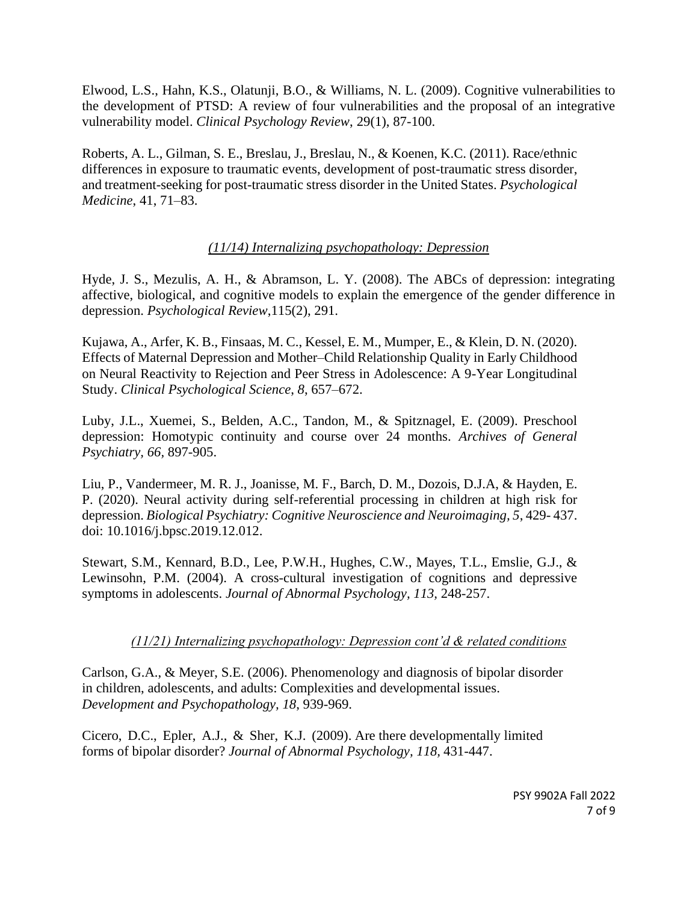Elwood, L.S., Hahn, K.S., Olatunji, B.O., & Williams, N. L. (2009). Cognitive vulnerabilities to the development of PTSD: A review of four vulnerabilities and the proposal of an integrative vulnerability model. *Clinical Psychology Review*, 29(1), 87-100.

Roberts, A. L., Gilman, S. E., Breslau, J., Breslau, N., & Koenen, K.C. (2011). Race/ethnic differences in exposure to traumatic events, development of post-traumatic stress disorder, and treatment-seeking for post-traumatic stress disorder in the United States. *Psychological Medicine*, 41, 71–83.

### *(11/14) Internalizing psychopathology: Depression*

Hyde, J. S., Mezulis, A. H., & Abramson, L. Y. (2008). The ABCs of depression: integrating affective, biological, and cognitive models to explain the emergence of the gender difference in depression. *Psychological Review*,115(2), 291.

Kujawa, A., Arfer, K. B., Finsaas, M. C., Kessel, E. M., Mumper, E., & Klein, D. N. (2020). Effects of Maternal Depression and Mother–Child Relationship Quality in Early Childhood on Neural Reactivity to Rejection and Peer Stress in Adolescence: A 9-Year Longitudinal Study. *Clinical Psychological Science*, *8*, 657–672.

Luby, J.L., Xuemei, S., Belden, A.C., Tandon, M., & Spitznagel, E. (2009). Preschool depression: Homotypic continuity and course over 24 months. *Archives of General Psychiatry, 66,* 897-905.

Liu, P., Vandermeer, M. R. J., Joanisse, M. F., Barch, D. M., Dozois, D.J.A, & Hayden, E. P. (2020). Neural activity during self-referential processing in children at high risk for depression. *Biological Psychiatry: Cognitive Neuroscience and Neuroimaging, 5*, 429- 437. doi: 10.1016/j.bpsc.2019.12.012.

Stewart, S.M., Kennard, B.D., Lee, P.W.H., Hughes, C.W., Mayes, T.L., Emslie, G.J., & Lewinsohn, P.M. (2004). A cross-cultural investigation of cognitions and depressive symptoms in adolescents. *Journal of Abnormal Psychology, 113,* 248-257.

### *(11/21) Internalizing psychopathology: Depression cont'd & related conditions*

Carlson, G.A., & Meyer, S.E. (2006). Phenomenology and diagnosis of bipolar disorder in children, adolescents, and adults: Complexities and developmental issues. *Development and Psychopathology, 18*, 939-969.

Cicero, D.C., Epler, A.J., & Sher, K.J. (2009). Are there developmentally limited forms of bipolar disorder? *Journal of Abnormal Psychology, 118,* 431-447.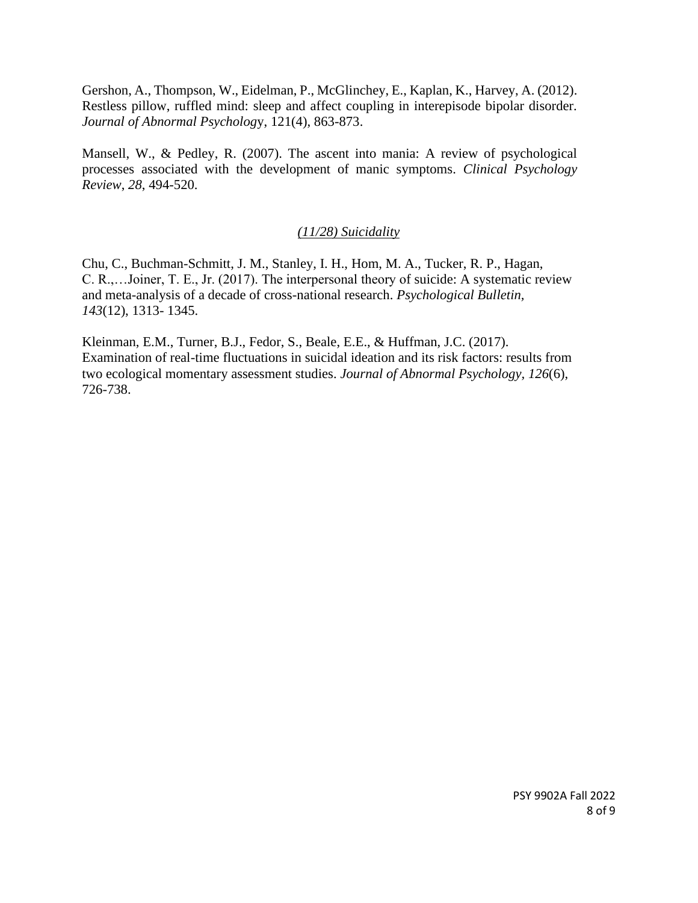Gershon, A., Thompson, W., Eidelman, P., McGlinchey, E., Kaplan, K., Harvey, A. (2012). Restless pillow, ruffled mind: sleep and affect coupling in interepisode bipolar disorder. *Journal of Abnormal Psycholog*y, 121(4), 863-873.

Mansell, W., & Pedley, R. (2007). The ascent into mania: A review of psychological processes associated with the development of manic symptoms. *Clinical Psychology Review*, *28*, 494-520.

#### *(11/28) Suicidality*

Chu, C., Buchman-Schmitt, J. M., Stanley, I. H., Hom, M. A., Tucker, R. P., Hagan, C. R.,…Joiner, T. E., Jr. (2017). The interpersonal theory of suicide: A systematic review and meta-analysis of a decade of cross-national research. *Psychological Bulletin, 143*(12), 1313- 1345.

Kleinman, E.M., Turner, B.J., Fedor, S., Beale, E.E., & Huffman, J.C. (2017). Examination of real-time fluctuations in suicidal ideation and its risk factors: results from two ecological momentary assessment studies. *Journal of Abnormal Psychology, 126*(6), 726-738.